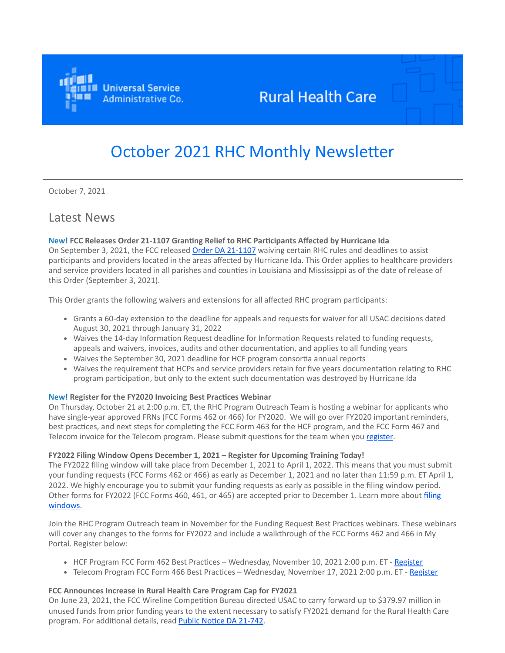

# **Rural Health Care**

# October 2021 RHC Monthly Newsletter

October 7, 2021

# Latest News

# **New! FCC Releases Order 21-1107 Granting Relief to RHC Participants Affected by Hurricane Ida**

On September 3, 2021, the FCC released Order [DA 21-1107](https://click.outreach.usac.org/?qs=65cb5efdaa20d618944303e9265c98d925281489205fc475f1cfe1286383113f288edd205a864abaec332c721e5433ab3b8fdfe9c8254d9c) waiving certain RHC rules and deadlines to assist participants and providers located in the areas affected by Hurricane Ida. This Order applies to healthcare providers and service providers located in all parishes and counties in Louisiana and Mississippi as of the date of release of this Order (September 3, 2021).

This Order grants the following waivers and extensions for all affected RHC program participants:

- Grants a 60-day extension to the deadline for appeals and requests for waiver for all USAC decisions dated August 30, 2021 through January 31, 2022
- Waives the 14-day Information Request deadline for Information Requests related to funding requests, appeals and waivers, invoices, audits and other documentation, and applies to all funding years
- Waives the September 30, 2021 deadline for HCF program consortia annual reports
- Waives the requirement that HCPs and service providers retain for five years documentation relating to RHC program participation, but only to the extent such documentation was destroyed by Hurricane Ida

#### **New! Register for the FY2020 Invoicing Best Practices Webinar**

On Thursday, October 21 at 2:00 p.m. ET, the RHC Program Outreach Team is hosting a webinar for applicants who have single-year approved FRNs (FCC Forms 462 or 466) for FY2020. We will go over FY2020 important reminders, best practices, and next steps for completing the FCC Form 463 for the HCF program, and the FCC Form 467 and Telecom invoice for the Telecom program. Please submit questions for the team when you [register.](https://click.outreach.usac.org/?qs=65cb5efdaa20d6189e7bd7c36be87a998b8ee55d587d8d1ce8ea2298d454b7e6ab0fc11e6c09c7bc29422913d8fc0dcde12425f0c752d30b)

#### **FY2022 Filing Window Opens December 1, 2021 – Register for Upcoming Training Today!**

The FY2022 filing window will take place from December 1, 2021 to April 1, 2022. This means that you must submit your funding requests (FCC Forms 462 or 466) as early as December 1, 2021 and no later than 11:59 p.m. ET April 1, 2022. We highly encourage you to submit your funding requests as early as possible in the filing window period. [Other forms for FY2022 \(FCC Forms 460, 461, or 465\) are accepted prior to December 1. Learn more about filing](https://click.outreach.usac.org/?qs=65cb5efdaa20d61870c11206d0323cc5942aa15d12ac9e6d49bc3d442b810895a7c6a6af585770f34b25936fa128d4ac3138d7fb2aa46c51) windows.

Join the RHC Program Outreach team in November for the Funding Request Best Practices webinars. These webinars will cover any changes to the forms for FY2022 and include a walkthrough of the FCC Forms 462 and 466 in My Portal. Register below:

- HCF Program FCC Form 462 Best Practices Wednesday, November 10, 2021 2:00 p.m. ET - [Register](https://click.outreach.usac.org/?qs=65cb5efdaa20d61886c901ae81beeb0cc19dced5eefebf778757a4c753621ed158529746cd1f90c167a107bac9ff1f931ad5daccda346a07)
- Telecom Program FCC Form 466 Best Practices Wednesday, November 17, 2021 2:00 p.m. ET [Register](https://click.outreach.usac.org/?qs=65cb5efdaa20d61818d326fa9164758260ca54d1aeab9e5c83b50db5baf02407fef871b171a3137cff5de0a01bb5ba15fdff4768ac2d3d63)

# **FCC Announces Increase in Rural Health Care Program Cap for FY2021**

On June 23, 2021, the FCC Wireline Competition Bureau directed USAC to carry forward up to \$379.97 million in unused funds from prior funding years to the extent necessary to satisfy FY2021 demand for the Rural Health Care program. For additional details, read [Public Notice DA 21-742](https://click.outreach.usac.org/?qs=65cb5efdaa20d6184070c825802bd96202ca12a1a70afbf507a4c817250574088d2f8d83f72c541f7bd4a94e6507bc94ff355cd83c7d590f).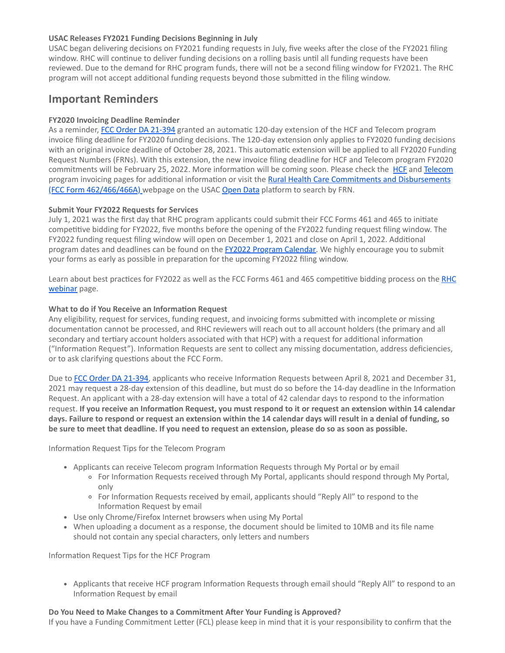# **USAC Releases FY2021 Funding Decisions Beginning in July**

USAC began delivering decisions on FY2021 funding requests in July, five weeks after the close of the FY2021 filing window. RHC will continue to deliver funding decisions on a rolling basis until all funding requests have been reviewed. Due to the demand for RHC program funds, there will not be a second filing window for FY2021. The RHC program will not accept additional funding requests beyond those submitted in the filing window.

# **Important Reminders**

# **FY2020 Invoicing Deadline Reminder**

As a reminder, [FCC Order DA 21-394](https://click.outreach.usac.org/?qs=65cb5efdaa20d618d567689fc7b971fc4fdf5cf43193ce2ef629335463a4fa4f199c04cb66816241f5687ba396ea58a99b41c2f19b12199d) granted an automatic 120-day extension of the HCF and Telecom program invoice filing deadline for FY2020 funding decisions. The 120-day extension only applies to FY2020 funding decisions with an original invoice deadline of October 28, 2021. This automatic extension will be applied to all FY2020 Funding Request Numbers (FRNs). With this extension, the new invoice filing deadline for HCF and Telecom program FY2020 commitments will be February 25, 2022. More information will be coming soon. Please check the **[HCF](https://click.outreach.usac.org/?qs=65cb5efdaa20d61823835761439d0103a49b80d2f8f7cc1db0bd33a17ee03d93d5d2a8dfc71189855400b98f96dea221aead3ed5ad77aec1)** and [Telecom](https://click.outreach.usac.org/?qs=65cb5efdaa20d618705aa3014a5c20d663a70b97f411c20ce48f5be4239abcb2b4891c2c57c15fefbb0f42044044985e805c7192e5aee874) program invoicing pages for additional information or visit the **Rural Health Care Commitments and Disbursements** (FCC Form 462/466/466A) webpage on the USAC [Open Data](https://click.outreach.usac.org/?qs=acc78a631504359bf81e4e9f7a9a9afaa4af30345ecb29b619f4946456c40f9a3634324ebf6f78a53091a27c00cdd945dfb8f58715d2df29) platform to search by FRN.

#### **Submit Your FY2022 Requests for Services**

July 1, 2021 was the first day that RHC program applicants could submit their FCC Forms 461 and 465 to initiate competitive bidding for FY2022, five months before the opening of the FY2022 funding request filing window. The FY2022 funding request filing window will open on December 1, 2021 and close on April 1, 2022. Additional program dates and deadlines can be found on the [FY2022 Program Calendar](https://click.outreach.usac.org/?qs=acc78a631504359b89c4a014024b3bc2b0e9d51a21710f83a2a9c24b088bf464464127d3750ca66d27f46affe586d4e00602d98181e9d598). We highly encourage you to submit your forms as early as possible in preparation for the upcoming FY2022 filing window.

[Learn about best practices for FY2022 as well as the FCC Forms 461 and 465 competitive bidding process on the RHC](https://click.outreach.usac.org/?qs=acc78a631504359bc82e49264219e7744ea3b8514406f30fb66bae3e17a4ce82cf316c43eaa8d792ccca0753322136f3604802d66245f2bc) webinar page.

#### **What to do if You Receive an Information Request**

Any eligibility, request for services, funding request, and invoicing forms submitted with incomplete or missing documentation cannot be processed, and RHC reviewers will reach out to all account holders (the primary and all secondary and tertiary account holders associated with that HCP) with a request for additional information ("Information Request"). Information Requests are sent to collect any missing documentation, address deficiencies, or to ask clarifying questions about the FCC Form.

Due to [FCC Order DA 21-394](https://click.outreach.usac.org/?qs=65cb5efdaa20d618d567689fc7b971fc4fdf5cf43193ce2ef629335463a4fa4f199c04cb66816241f5687ba396ea58a99b41c2f19b12199d), applicants who receive Information Requests between April 8, 2021 and December 31, 2021 may request a 28-day extension of this deadline, but must do so before the 14-day deadline in the Information Request. An applicant with a 28-day extension will have a total of 42 calendar days to respond to the information request. **If you receive an Information Request, you must respond to it or request an extension within 14 calendar days. Failure to respond or request an extension within the 14 calendar days will result in a denial of funding, so be sure to meet that deadline. If you need to request an extension, please do so as soon as possible.**

Information Request Tips for the Telecom Program

- Applicants can receive Telecom program Information Requests through My Portal or by email
	- For Information Requests received through My Portal, applicants should respond through My Portal, only
	- For Information Requests received by email, applicants should "Reply All" to respond to the Information Request by email
- Use only Chrome/Firefox Internet browsers when using My Portal
- When uploading a document as a response, the document should be limited to 10MB and its file name should not contain any special characters, only letters and numbers

Information Request Tips for the HCF Program

Applicants that receive HCF program Information Requests through email should "Reply All" to respond to an Information Request by email

#### **Do You Need to Make Changes to a Commitment After Your Funding is Approved?**

If you have a Funding Commitment Letter (FCL) please keep in mind that it is your responsibility to confirm that the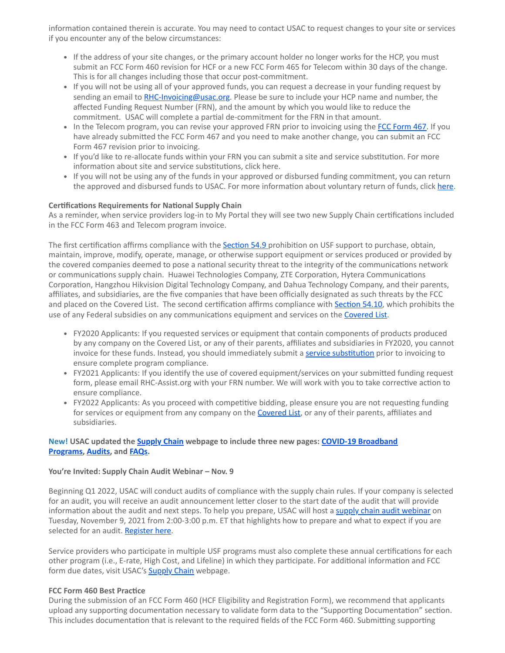information contained therein is accurate. You may need to contact USAC to request changes to your site or services if you encounter any of the below circumstances:

- If the address of your site changes, or the primary account holder no longer works for the HCP, you must submit an FCC Form 460 revision for HCF or a new FCC Form 465 for Telecom within 30 days of the change. This is for all changes including those that occur post-commitment.
- If you will not be using all of your approved funds, you can request a decrease in your funding request by sending an email to [RHC-Invoicing@usac.org.](mailto:RHC-Invoicing@usac.org?subject=) Please be sure to include your HCP name and number, the affected Funding Request Number (FRN), and the amount by which you would like to reduce the commitment. USAC will complete a partial de-commitment for the FRN in that amount.
- In the Telecom program, you can revise your approved FRN prior to invoicing using the [FCC Form 467](https://click.outreach.usac.org/?qs=acc78a631504359b2685f6c0eead570d48d3da0877b91bfe467d71361c2dd0737240e6cbeb28d0f99244e6b1b411fd7b1fb2e2ed9cdb9a19). If you have already submitted the FCC Form 467 and you need to make another change, you can submit an FCC Form 467 revision prior to invoicing.
- If you'd like to re-allocate funds within your FRN you can submit a site and service substitution. For more information about site and service substitutions, click here.
- If you will not be using any of the funds in your approved or disbursed funding commitment, you can return the approved and disbursed funds to USAC. For more information about voluntary return of funds, click [here](https://click.outreach.usac.org/?qs=acc78a631504359ba2f116fb532949c605e265ed88baf6aa6d400c512c7e441f9db793364e872cb5b733bd96be845f831186af3e97b87171).

# **Certifications Requirements for National Supply Chain**

As a reminder, when service providers log-in to My Portal they will see two new Supply Chain certifications included in the FCC Form 463 and Telecom program invoice.

The first certification affirms compliance with the **Section 54.9** prohibition on USF support to purchase, obtain, maintain, improve, modify, operate, manage, or otherwise support equipment or services produced or provided by the covered companies deemed to pose a national security threat to the integrity of the communications network or communications supply chain. Huawei Technologies Company, ZTE Corporation, Hytera Communications Corporation, Hangzhou Hikvision Digital Technology Company, and Dahua Technology Company, and their parents, affiliates, and subsidiaries, are the five companies that have been officially designated as such threats by the FCC and placed on the Covered List. The second certification affirms compliance with [Section 54.10,](https://click.outreach.usac.org/?qs=acc78a631504359bc4d3aeeb98dbf17899663f1c7b9e910159426f9dae34bf4d49392adebda2cd297974a30122af3f5dd1b2feba7571f67e) which prohibits the use of any Federal subsidies on any communications equipment and services on the [Covered List](https://click.outreach.usac.org/?qs=acc78a631504359bc15fc62ccaa6d943c97e317d42986e390a300162690ae410f60cd8f524ad19afcc715495bac0bd5d2990f1b996c3e7b1).

- FY2020 Applicants: If you requested services or equipment that contain components of products produced by any company on the Covered List, or any of their parents, affiliates and subsidiaries in FY2020, you cannot invoice for these funds. Instead, you should immediately submit a [service substitution](https://click.outreach.usac.org/?qs=acc78a631504359b467f59cab92fbe8be73f1244532a6d9783fe2ccd1d1eb41b2da5fbdfba14c4db1a3d425745792643390841517d5e39bb) prior to invoicing to ensure complete program compliance.
- FY2021 Applicants: If you identify the use of covered equipment/services on your submitted funding request form, please email RHC-Assist.org with your FRN number. We will work with you to take corrective action to ensure compliance.
- FY2022 Applicants: As you proceed with competitive bidding, please ensure you are not requesting funding for services or equipment from any company on the [Covered List](https://click.outreach.usac.org/?qs=acc78a631504359bc15fc62ccaa6d943c97e317d42986e390a300162690ae410f60cd8f524ad19afcc715495bac0bd5d2990f1b996c3e7b1), or any of their parents, affiliates and subsidiaries.

# **[New! USAC updated the](https://click.outreach.usac.org/?qs=558695c0ec4a840526f3252580731692485b80d376e0bff14523aae2b0e2fba631f1488b3ca367d7dd16b5331d1a375b52deccf180f892ed) [Supply Chai](https://click.outreach.usac.org/?qs=558695c0ec4a8405665c8b550070a2a39805680466633e218494b338598f955e78f05f2aa714d539a0d3333b171221df93b090c178c5485b)[n webpage to include three new pages: COVID-19 Broadband](https://click.outreach.usac.org/?qs=558695c0ec4a840526f3252580731692485b80d376e0bff14523aae2b0e2fba631f1488b3ca367d7dd16b5331d1a375b52deccf180f892ed) Programs, [Audits](https://click.outreach.usac.org/?qs=558695c0ec4a8405fdf6c1619c5187731acfe85716eb7529a465378bf65f0f2c5423fbd8de5c4a7e21aefb3c4a16989c7bdd7b1c0b228886), and [FAQs](https://click.outreach.usac.org/?qs=558695c0ec4a84055926ab5dcc876799bd9513f5dc34cdbd87c955f711a2dc12738973ae6755a5d9fdecdef333b854773e12f9f475517981).**

#### **You're Invited: Supply Chain Audit Webinar – Nov. 9**

Beginning Q1 2022, USAC will conduct audits of compliance with the supply chain rules. If your company is selected for an audit, you will receive an audit announcement letter closer to the start date of the audit that will provide information about the audit and next steps. To help you prepare, USAC will host a [supply chain audit webinar](https://click.outreach.usac.org/?qs=558695c0ec4a8405a7cd9c8ffcf8ff32581488bad7c6a8cea8c244a96c0038c5ebe9c0b6a2c3f5f8c1eaada21e1da9528e2801c83a89ba36) on Tuesday, November 9, 2021 from 2:00-3:00 p.m. ET that highlights how to prepare and what to expect if you are selected for an audit. [Register here](https://click.outreach.usac.org/?qs=558695c0ec4a840590fbe38419f5390b1e20f54ed702c170e4d4aa92abb067fa59d84492ed64d6538bb7bb96952d5f18d4d3515e36beac9f).

Service providers who participate in multiple USF programs must also complete these annual certifications for each other program (i.e., E-rate, High Cost, and Lifeline) in which they participate. For additional information and FCC form due dates, visit USAC's **Supply Chain** webpage.

#### **FCC Form 460 Best Practice**

During the submission of an FCC Form 460 (HCF Eligibility and Registration Form), we recommend that applicants upload any supporting documentation necessary to validate form data to the "Supporting Documentation" section. This includes documentation that is relevant to the required fields of the FCC Form 460. Submitting supporting